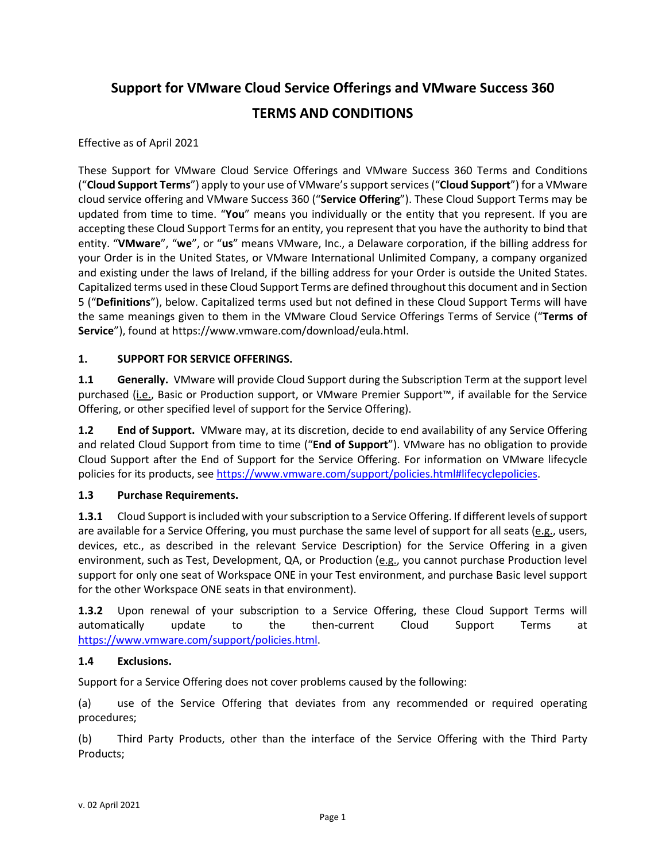# **Support for VMware Cloud Service Offerings and VMware Success 360 TERMS AND CONDITIONS**

Effective as of April 2021

These Support for VMware Cloud Service Offerings and VMware Success 360 Terms and Conditions ("**Cloud Support Terms**") apply to your use of VMware's support services ("**Cloud Support**") for a VMware cloud service offering and VMware Success 360 ("**Service Offering**"). These Cloud Support Terms may be updated from time to time. "**You**" means you individually or the entity that you represent. If you are accepting these Cloud Support Terms for an entity, you represent that you have the authority to bind that entity. "**VMware**", "**we**", or "**us**" means VMware, Inc., a Delaware corporation, if the billing address for your Order is in the United States, or VMware International Unlimited Company, a company organized and existing under the laws of Ireland, if the billing address for your Order is outside the United States. Capitalized terms used in these Cloud Support Terms are defined throughout this document and in Section 5 ("**Definitions**"), below. Capitalized terms used but not defined in these Cloud Support Terms will have the same meanings given to them in the VMware Cloud Service Offerings Terms of Service ("**Terms of Service**"), found at https://www.vmware.com/download/eula.html.

### **1. SUPPORT FOR SERVICE OFFERINGS.**

**1.1 Generally.** VMware will provide Cloud Support during the Subscription Term at the support level purchased (i.e., Basic or Production support, or VMware Premier Support™, if available for the Service Offering, or other specified level of support for the Service Offering).

**1.2 End of Support.** VMware may, at its discretion, decide to end availability of any Service Offering and related Cloud Support from time to time ("**End of Support**"). VMware has no obligation to provide Cloud Support after the End of Support for the Service Offering. For information on VMware lifecycle policies for its products, see [https://www.vmware.com/support/policies.html#lifecyclepolicies.](https://www.vmware.com/support/policies.html#lifecyclepolicies)

#### **1.3 Purchase Requirements.**

**1.3.1** Cloud Support is included with your subscription to a Service Offering. If different levels of support are available for a Service Offering, you must purchase the same level of support for all seats (e.g., users, devices, etc., as described in the relevant Service Description) for the Service Offering in a given environment, such as Test, Development, QA, or Production (e.g., you cannot purchase Production level support for only one seat of Workspace ONE in your Test environment, and purchase Basic level support for the other Workspace ONE seats in that environment).

**1.3.2** Upon renewal of your subscription to a Service Offering, these Cloud Support Terms will automatically update to the then-current Cloud Support Terms at [https://www.vmware.com/support/policies.html.](https://www.vmware.com/support/policies.html)

#### **1.4 Exclusions.**

Support for a Service Offering does not cover problems caused by the following:

(a) use of the Service Offering that deviates from any recommended or required operating procedures;

(b) Third Party Products, other than the interface of the Service Offering with the Third Party Products;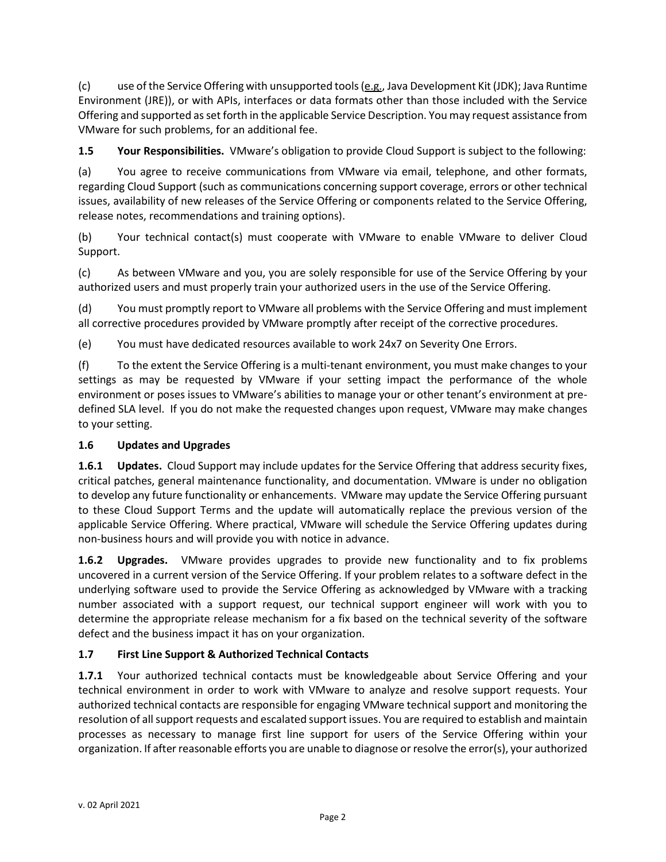(c) use of the Service Offering with unsupported tools  $(e.g.,$  Java Development Kit (JDK); Java Runtime Environment (JRE)), or with APIs, interfaces or data formats other than those included with the Service Offering and supported as set forth in the applicable Service Description. You may request assistance from VMware for such problems, for an additional fee.

**1.5 Your Responsibilities.** VMware's obligation to provide Cloud Support is subject to the following:

(a) You agree to receive communications from VMware via email, telephone, and other formats, regarding Cloud Support (such as communications concerning support coverage, errors or other technical issues, availability of new releases of the Service Offering or components related to the Service Offering, release notes, recommendations and training options).

(b) Your technical contact(s) must cooperate with VMware to enable VMware to deliver Cloud Support.

(c) As between VMware and you, you are solely responsible for use of the Service Offering by your authorized users and must properly train your authorized users in the use of the Service Offering.

(d) You must promptly report to VMware all problems with the Service Offering and must implement all corrective procedures provided by VMware promptly after receipt of the corrective procedures.

(e) You must have dedicated resources available to work 24x7 on Severity One Errors.

(f) To the extent the Service Offering is a multi-tenant environment, you must make changes to your settings as may be requested by VMware if your setting impact the performance of the whole environment or poses issues to VMware's abilities to manage your or other tenant's environment at predefined SLA level. If you do not make the requested changes upon request, VMware may make changes to your setting.

## **1.6 Updates and Upgrades**

**1.6.1 Updates.** Cloud Support may include updates for the Service Offering that address security fixes, critical patches, general maintenance functionality, and documentation. VMware is under no obligation to develop any future functionality or enhancements. VMware may update the Service Offering pursuant to these Cloud Support Terms and the update will automatically replace the previous version of the applicable Service Offering. Where practical, VMware will schedule the Service Offering updates during non-business hours and will provide you with notice in advance.

**1.6.2 Upgrades.** VMware provides upgrades to provide new functionality and to fix problems uncovered in a current version of the Service Offering. If your problem relates to a software defect in the underlying software used to provide the Service Offering as acknowledged by VMware with a tracking number associated with a support request, our technical support engineer will work with you to determine the appropriate release mechanism for a fix based on the technical severity of the software defect and the business impact it has on your organization.

## **1.7 First Line Support & Authorized Technical Contacts**

**1.7.1** Your authorized technical contacts must be knowledgeable about Service Offering and your technical environment in order to work with VMware to analyze and resolve support requests. Your authorized technical contacts are responsible for engaging VMware technical support and monitoring the resolution of all support requests and escalated support issues. You are required to establish and maintain processes as necessary to manage first line support for users of the Service Offering within your organization. If after reasonable efforts you are unable to diagnose or resolve the error(s), your authorized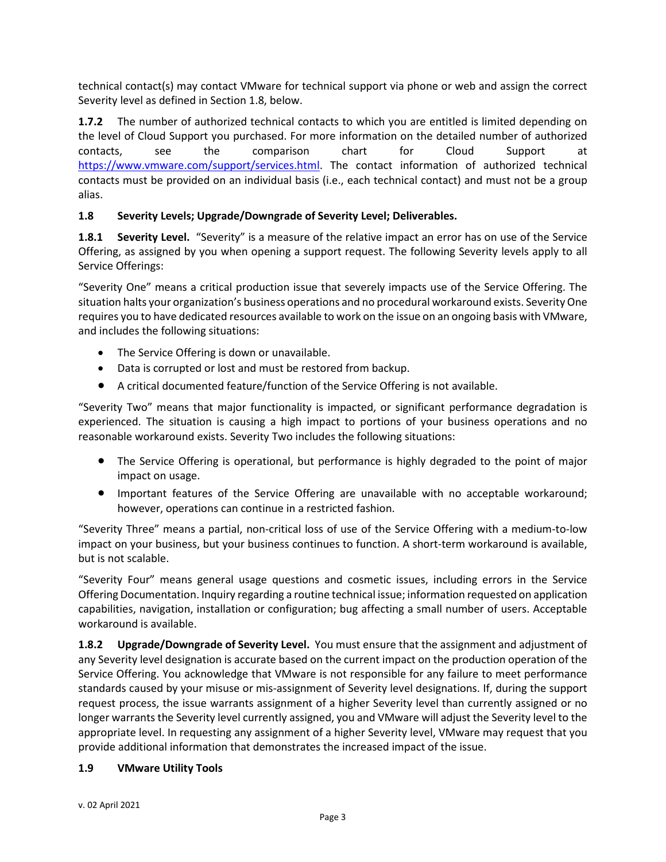technical contact(s) may contact VMware for technical support via phone or web and assign the correct Severity level as defined in Section 1.8, below.

**1.7.2** The number of authorized technical contacts to which you are entitled is limited depending on the level of Cloud Support you purchased. For more information on the detailed number of authorized contacts, see the comparison chart for Cloud Support at [https://www.vmware.com/support/services.html.](https://www.vmware.com/support/services.html) The contact information of authorized technical contacts must be provided on an individual basis (i.e., each technical contact) and must not be a group alias.

### **1.8 Severity Levels; Upgrade/Downgrade of Severity Level; Deliverables.**

**1.8.1 Severity Level.** "Severity" is a measure of the relative impact an error has on use of the Service Offering, as assigned by you when opening a support request. The following Severity levels apply to all Service Offerings:

"Severity One" means a critical production issue that severely impacts use of the Service Offering. The situation halts your organization's business operations and no procedural workaround exists. Severity One requires you to have dedicated resources available to work on the issue on an ongoing basis with VMware, and includes the following situations:

- The Service Offering is down or unavailable.
- Data is corrupted or lost and must be restored from backup.
- A critical documented feature/function of the Service Offering is not available.

"Severity Two" means that major functionality is impacted, or significant performance degradation is experienced. The situation is causing a high impact to portions of your business operations and no reasonable workaround exists. Severity Two includes the following situations:

- The Service Offering is operational, but performance is highly degraded to the point of major impact on usage.
- Important features of the Service Offering are unavailable with no acceptable workaround; however, operations can continue in a restricted fashion.

"Severity Three" means a partial, non-critical loss of use of the Service Offering with a medium-to-low impact on your business, but your business continues to function. A short-term workaround is available, but is not scalable.

"Severity Four" means general usage questions and cosmetic issues, including errors in the Service Offering Documentation. Inquiry regarding a routine technical issue; information requested on application capabilities, navigation, installation or configuration; bug affecting a small number of users. Acceptable workaround is available.

**1.8.2 Upgrade/Downgrade of Severity Level.** You must ensure that the assignment and adjustment of any Severity level designation is accurate based on the current impact on the production operation of the Service Offering. You acknowledge that VMware is not responsible for any failure to meet performance standards caused by your misuse or mis-assignment of Severity level designations. If, during the support request process, the issue warrants assignment of a higher Severity level than currently assigned or no longer warrants the Severity level currently assigned, you and VMware will adjust the Severity level to the appropriate level. In requesting any assignment of a higher Severity level, VMware may request that you provide additional information that demonstrates the increased impact of the issue.

#### **1.9 VMware Utility Tools**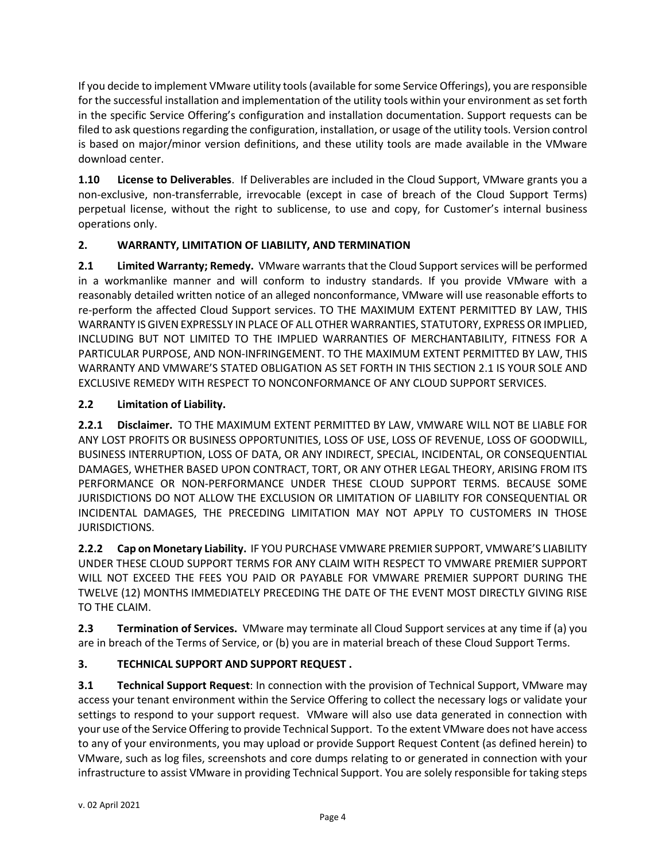If you decide to implement VMware utility tools (available for some Service Offerings), you are responsible for the successful installation and implementation of the utility tools within your environment as set forth in the specific Service Offering's configuration and installation documentation. Support requests can be filed to ask questions regarding the configuration, installation, or usage of the utility tools. Version control is based on [major/minor version definitions,](https://www.vmware.com/support/policies/upgrade.html) and these utility tools are made available in the VMware download center.

**1.10 License to Deliverables**. If Deliverables are included in the Cloud Support, VMware grants you a non-exclusive, non-transferrable, irrevocable (except in case of breach of the Cloud Support Terms) perpetual license, without the right to sublicense, to use and copy, for Customer's internal business operations only.

# **2. WARRANTY, LIMITATION OF LIABILITY, AND TERMINATION**

**2.1 Limited Warranty; Remedy.** VMware warrants that the Cloud Support services will be performed in a workmanlike manner and will conform to industry standards. If you provide VMware with a reasonably detailed written notice of an alleged nonconformance, VMware will use reasonable efforts to re-perform the affected Cloud Support services. TO THE MAXIMUM EXTENT PERMITTED BY LAW, THIS WARRANTY IS GIVEN EXPRESSLY IN PLACE OF ALL OTHER WARRANTIES, STATUTORY, EXPRESS OR IMPLIED, INCLUDING BUT NOT LIMITED TO THE IMPLIED WARRANTIES OF MERCHANTABILITY, FITNESS FOR A PARTICULAR PURPOSE, AND NON-INFRINGEMENT. TO THE MAXIMUM EXTENT PERMITTED BY LAW, THIS WARRANTY AND VMWARE'S STATED OBLIGATION AS SET FORTH IN THIS SECTION 2.1 IS YOUR SOLE AND EXCLUSIVE REMEDY WITH RESPECT TO NONCONFORMANCE OF ANY CLOUD SUPPORT SERVICES.

# **2.2 Limitation of Liability.**

**2.2.1 Disclaimer.** TO THE MAXIMUM EXTENT PERMITTED BY LAW, VMWARE WILL NOT BE LIABLE FOR ANY LOST PROFITS OR BUSINESS OPPORTUNITIES, LOSS OF USE, LOSS OF REVENUE, LOSS OF GOODWILL, BUSINESS INTERRUPTION, LOSS OF DATA, OR ANY INDIRECT, SPECIAL, INCIDENTAL, OR CONSEQUENTIAL DAMAGES, WHETHER BASED UPON CONTRACT, TORT, OR ANY OTHER LEGAL THEORY, ARISING FROM ITS PERFORMANCE OR NON-PERFORMANCE UNDER THESE CLOUD SUPPORT TERMS. BECAUSE SOME JURISDICTIONS DO NOT ALLOW THE EXCLUSION OR LIMITATION OF LIABILITY FOR CONSEQUENTIAL OR INCIDENTAL DAMAGES, THE PRECEDING LIMITATION MAY NOT APPLY TO CUSTOMERS IN THOSE JURISDICTIONS.

**2.2.2 Cap on Monetary Liability.** IF YOU PURCHASE VMWARE PREMIER SUPPORT, VMWARE'S LIABILITY UNDER THESE CLOUD SUPPORT TERMS FOR ANY CLAIM WITH RESPECT TO VMWARE PREMIER SUPPORT WILL NOT EXCEED THE FEES YOU PAID OR PAYABLE FOR VMWARE PREMIER SUPPORT DURING THE TWELVE (12) MONTHS IMMEDIATELY PRECEDING THE DATE OF THE EVENT MOST DIRECTLY GIVING RISE TO THE CLAIM.

**2.3 Termination of Services.** VMware may terminate all Cloud Support services at any time if (a) you are in breach of the Terms of Service, or (b) you are in material breach of these Cloud Support Terms.

# **3. TECHNICAL SUPPORT AND SUPPORT REQUEST .**

**3.1 Technical Support Request**: In connection with the provision of Technical Support, VMware may access your tenant environment within the Service Offering to collect the necessary logs or validate your settings to respond to your support request. VMware will also use data generated in connection with your use of the Service Offering to provide Technical Support. To the extent VMware does not have access to any of your environments, you may upload or provide Support Request Content (as defined herein) to VMware, such as log files, screenshots and core dumps relating to or generated in connection with your infrastructure to assist VMware in providing Technical Support. You are solely responsible for taking steps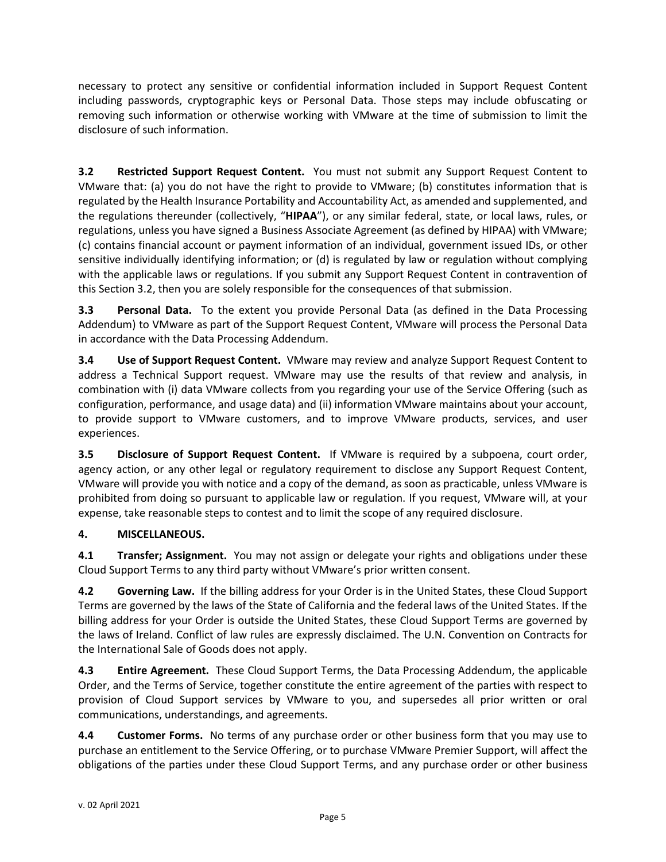necessary to protect any sensitive or confidential information included in Support Request Content including passwords, cryptographic keys or Personal Data. Those steps may include obfuscating or removing such information or otherwise working with VMware at the time of submission to limit the disclosure of such information.

**3.2 Restricted Support Request Content.** You must not submit any Support Request Content to VMware that: (a) you do not have the right to provide to VMware; (b) constitutes information that is regulated by the Health Insurance Portability and Accountability Act, as amended and supplemented, and the regulations thereunder (collectively, "**HIPAA**"), or any similar federal, state, or local laws, rules, or regulations, unless you have signed a Business Associate Agreement (as defined by HIPAA) with VMware; (c) contains financial account or payment information of an individual, government issued IDs, or other sensitive individually identifying information; or (d) is regulated by law or regulation without complying with the applicable laws or regulations. If you submit any Support Request Content in contravention of this Section 3.2, then you are solely responsible for the consequences of that submission.

**3.3 Personal Data.** To the extent you provide Personal Data (as defined in the Data Processing Addendum) to VMware as part of the Support Request Content, VMware will process the Personal Data in accordance with the Data Processing Addendum.

**3.4 Use of Support Request Content.** VMware may review and analyze Support Request Content to address a Technical Support request. VMware may use the results of that review and analysis, in combination with (i) data VMware collects from you regarding your use of the Service Offering (such as configuration, performance, and usage data) and (ii) information VMware maintains about your account, to provide support to VMware customers, and to improve VMware products, services, and user experiences.

**3.5 Disclosure of Support Request Content.** If VMware is required by a subpoena, court order, agency action, or any other legal or regulatory requirement to disclose any Support Request Content, VMware will provide you with notice and a copy of the demand, as soon as practicable, unless VMware is prohibited from doing so pursuant to applicable law or regulation. If you request, VMware will, at your expense, take reasonable steps to contest and to limit the scope of any required disclosure.

# **4. MISCELLANEOUS.**

**4.1 Transfer; Assignment.** You may not assign or delegate your rights and obligations under these Cloud Support Terms to any third party without VMware's prior written consent.

**4.2 Governing Law.** If the billing address for your Order is in the United States, these Cloud Support Terms are governed by the laws of the State of California and the federal laws of the United States. If the billing address for your Order is outside the United States, these Cloud Support Terms are governed by the laws of Ireland. Conflict of law rules are expressly disclaimed. The U.N. Convention on Contracts for the International Sale of Goods does not apply.

**4.3 Entire Agreement.** These Cloud Support Terms, the Data Processing Addendum, the applicable Order, and the Terms of Service, together constitute the entire agreement of the parties with respect to provision of Cloud Support services by VMware to you, and supersedes all prior written or oral communications, understandings, and agreements.

**4.4 Customer Forms.** No terms of any purchase order or other business form that you may use to purchase an entitlement to the Service Offering, or to purchase VMware Premier Support, will affect the obligations of the parties under these Cloud Support Terms, and any purchase order or other business